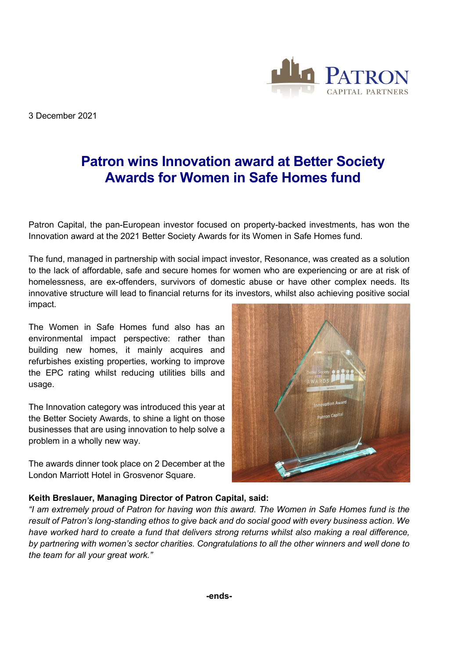3 December 2021



Patron Capital, the pan-European investor focused on property-backed investments, has won the Innovation award at the 2021 Better Society Awards for its Women in Safe Homes fund.

The fund, managed in partnership with social impact investor, Resonance, was created as a solution to the lack of affordable, safe and secure homes for women who are experiencing or are at risk of homelessness, are ex-offenders, survivors of domestic abuse or have other complex needs. Its innovative structure will lead to financial returns for its investors, whilst also achieving positive social impact.

The Women in Safe Homes fund also has an environmental impact perspective: rather than building new homes, it mainly acquires and refurbishes existing properties, working to improve the EPC rating whilst reducing utilities bills and usage.

The Innovation category was introduced this year at the Better Society Awards, to shine a light on those businesses that are using innovation to help solve a problem in a wholly new way.

The awards dinner took place on 2 December at the London Marriott Hotel in Grosvenor Square.



CAPITAL PARTNERS

## **Keith Breslauer, Managing Director of Patron Capital, said:**

*"I am extremely proud of Patron for having won this award. The Women in Safe Homes fund is the result of Patron's long-standing ethos to give back and do social good with every business action. We have worked hard to create a fund that delivers strong returns whilst also making a real difference, by partnering with women's sector charities. Congratulations to all the other winners and well done to the team for all your great work."*